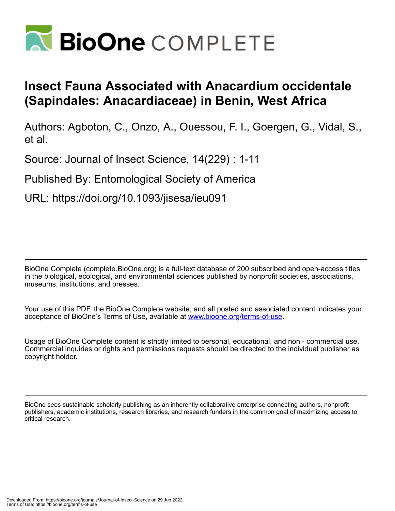

# **Insect Fauna Associated with Anacardium occidentale (Sapindales: Anacardiaceae) in Benin, West Africa**

Authors: Agboton, C., Onzo, A., Ouessou, F. I., Goergen, G., Vidal, S., et al.

Source: Journal of Insect Science, 14(229) : 1-11

Published By: Entomological Society of America

URL: https://doi.org/10.1093/jisesa/ieu091

BioOne Complete (complete.BioOne.org) is a full-text database of 200 subscribed and open-access titles in the biological, ecological, and environmental sciences published by nonprofit societies, associations, museums, institutions, and presses.

Your use of this PDF, the BioOne Complete website, and all posted and associated content indicates your acceptance of BioOne's Terms of Use, available at www.bioone.org/terms-of-use.

Usage of BioOne Complete content is strictly limited to personal, educational, and non - commercial use. Commercial inquiries or rights and permissions requests should be directed to the individual publisher as copyright holder.

BioOne sees sustainable scholarly publishing as an inherently collaborative enterprise connecting authors, nonprofit publishers, academic institutions, research libraries, and research funders in the common goal of maximizing access to critical research.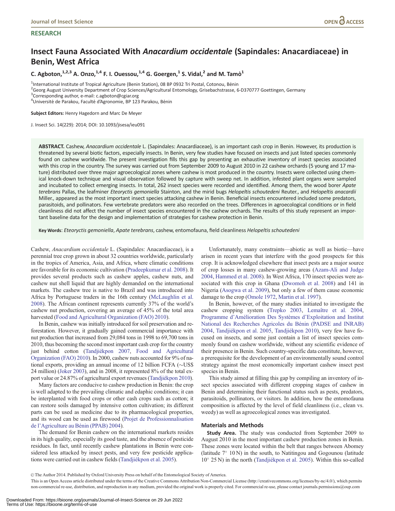### **RESEARCH**

# Insect Fauna Associated With Anacardium occidentale (Sapindales: Anacardiaceae) in Benin, West Africa

C. Agboton, $^{1,2,3}$  A. Onzo, $^{1,4}$  F. I. Ouessou, $^{1,4}$  G. Goergen, $^1$  S. Vidal, $^2$  and M. Tamò $^1$ 

<sup>1</sup>International Institute of Tropical Agriculture (Benin Station), 08 BP 0932 Tri Postal, Cotonou, Bénin<br><sup>2</sup>Ceorg August University Department of Crop Sciences (Agricultural Enternalegy, Gricobachstrasse, 6

<sup>2</sup>Georg August University Department of Crop Sciences/Agricultural Entomology, Grisebachstrasse, 6-D370777 Goettingen, Germany

<sup>4</sup> Université de Parakou, Faculté d'Agronomie, BP 123 Parakou, Bénin

Subject Editors: Henry Hagedorn and Marc De Meyer

J. Insect Sci. 14(229): 2014; DOI: 10.1093/jisesa/ieu091

ABSTRACT. Cashew, Anacardium occidentale L. (Sapindales: Anacardiaceae), is an important cash crop in Benin. However, its production is threatened by several biotic factors, especially insects. In Benin, very few studies have focused on insects and just listed species commonly found on cashew worldwide. The present investigation fills this gap by presenting an exhaustive inventory of insect species associated with this crop in the country. The survey was carried out from September 2009 to August 2010 in 22 cashew orchards (5 young and 17 mature) distributed over three major agroecological zones where cashew is most produced in the country. Insects were collected using chemical knock-down technique and visual observation followed by capture with sweep net. In addition, infested plant organs were sampled and incubated to collect emerging insects. In total, 262 insect species were recorded and identified. Among them, the wood borer Apate terebrans Pallas, the leafminer Eteoryctis gemoniella Stainton, and the mirid bugs Helopeltis schoutedeni Reuter., and Helopeltis anacardii Miller., appeared as the most important insect species attacking cashew in Benin. Beneficial insects encountered included some predators, parasitoids, and pollinators. Few vertebrate predators were also recorded on the trees. Differences in agroecological conditions or in field cleanliness did not affect the number of insect species encountered in the cashew orchards. The results of this study represent an important baseline data for the design and implementation of strategies for cashew protection in Benin.

Key Words: Eteoryctis gemoniella, Apate terebrans, cashew, entomofauna, field cleanliness Helopeltis schoutedeni

Cashew, Anacardium occidentale L. (Sapindales: Anacardiaceae), is a perennial tree crop grown in about 32 countries worldwide, particularly in the tropics of America, Asia, and Africa, where climatic conditions are favorable for its economic cultivation ([Pradeepkumar et al. 2008\)](#page-7-0). It provides several products such as cashew apples, cashew nuts, and cashew nut shell liquid that are highly demanded on the international markets. The cashew tree is native to Brazil and was introduced into Africa by Portuguese traders in the 16th century [\(McLaughlin et al.](#page-7-0) [2008\)](#page-7-0). The African continent represents currently 37% of the world's cashew nut production, covering an average of 45% of the total area harvested ([Food and Agricultural Organization \(FAO\) 2010\)](#page-7-0).

In Benin, cashew was initially introduced for soil preservation and reforestation. However, it gradually gained commercial importance with nut production that increased from 29,084 tons in 1998 to 69,700 tons in 2010, thus becoming the second most important cash crop for the country just behind cotton (Tandjiékpon 2007, [Food and Agricultural](#page-7-0) [Organization \(FAO\) 2010\)](#page-7-0). In 2000, cashew nuts accounted for 9% of national exports, providing an annual income of 12 billion FCFA ( $\sim$ US\$ 24 million) [\(Joker 2003](#page-7-0)), and in 2008, it represented 8% of the total export value or 24.87% of agricultural export revenues (Tandjiékpon 2010).

Many factors are conducive to cashew production in Benin: the crop is well adapted to the prevailing climatic and edaphic conditions; it can be interplanted with food crops or other cash crops such as cotton; it can restore soils damaged by intensive cotton cultivation; its different parts can be used as medicine due to its pharmacological properties, and its wood can be used as firewood [\(Projet de Professionnalisation](#page-7-0) de l'Agriculture au Bénin (PPAB) 2004).

The demand for Benin cashew on the international markets resides in its high quality, especially its good taste, and the absence of pesticide residues. In fact, until recently cashew plantations in Benin were considered less attacked by insect pests, and very few pesticide applications were carried out in cashew fields (Tandjiékpon et al. 2005).

Unfortunately, many constraints—abiotic as well as biotic—have arisen in recent years that interfere with the good prospects for this crop. It is acknowledged elsewhere that insect pests are a major source of crop losses in many cashew-growing areas ([Azam-Ali and Judge](#page-6-0) [2004](#page-6-0), [Hammed et al. 2008\)](#page-7-0). In West Africa, 170 insect species were associated with this crop in Ghana [\(Dwomoh et al. 2008](#page-6-0)) and 141 in Nigeria [\(Asogwa et al. 2009](#page-6-0)), but only a few of them cause economic damage to the crop [\(Omole 1972,](#page-7-0) [Martin et al. 1997](#page-7-0)).

In Benin, however, of the many studies initiated to investigate the cashew cropping system ([Trepko 2003,](#page-7-0) Lemaître et al. 2004, Programme d'Amélioration Des Systèmes d'Exploitation and Institut National des Recherches Agricoles du Bénin (PADSE and INRAB) [2004](#page-7-0), Tandjiékpon et al. 2005, Tandjiékpon 2010), very few have focused on insects, and some just contain a list of insect species commonly found on cashew worldwide, without any scientific evidence of their presence in Benin. Such country-specific data constitute, however, a prerequisite for the development of an environmentally sound control strategy against the most economically important cashew insect pest species in Benin.

This study aimed at filling this gap by compiling an inventory of insect species associated with different cropping stages of cashew in Benin and determining their functional status such as pests, predators, parasitoids, pollinators, or visitors. In addition, how the entomofauna composition is affected by the level of field cleanliness (i.e., clean vs. weedy) as well as agroecological zones was investigated.

#### Materials and Methods

Study Area. The study was conducted from September 2009 to August 2010 in the most important cashew production zones in Benin. These zones were located within the belt that ranges between Abomey (latitude  $7^{\circ}$  10 N) in the south, to Natitingou and Gogounou (latitude  $10^{\circ}$  25 N) in the north (Tandjiékpon et al. 2005). Within this so-called

<sup>3</sup> Corresponding author, e-mail: c.agboton@cgiar.org

V<sup>C</sup> The Author 2014. Published by Oxford University Press on behalf of the Entomological Society of America.

This is an Open Access article distributed under the terms of the Creative Commons Attribution Non-Commercial License (http://creativecommons.org/licenses/by-nc/4.0/), which permits non-commercial re-use, distribution, and reproduction in any medium, provided the original work is properly cited. For commercial re-use, please contact journals.permissions@oup.com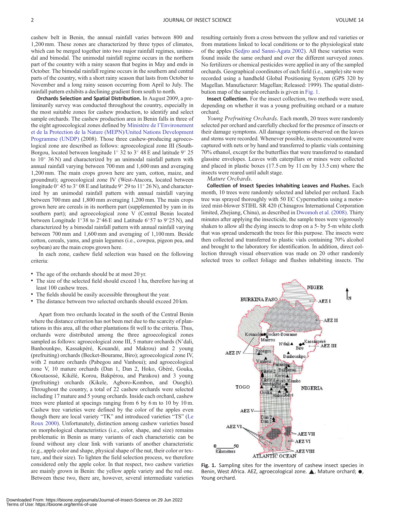cashew belt in Benin, the annual rainfall varies between 800 and 1,200 mm. These zones are characterized by three types of climates, which can be merged together into two major rainfall regimes, unimodal and bimodal. The unimodal rainfall regime occurs in the northern part of the country with a rainy season that begins in May and ends in October. The bimodal rainfall regime occurs in the southern and central parts of the country, with a short rainy season that lasts from October to November and a long rainy season occurring from April to July. The rainfall pattern exhibits a declining gradient from south to north.

Orchards Selection and Spatial Distribution. In August 2009, a preliminarily survey was conducted throughout the country, especially in the most suitable zones for cashew production, to identify and select sample orchards. The cashew production area in Benin falls in three of the eight agroecological zones defined by Ministère de l'Environement [et de la Protection de la Nature \(MEPN\)/United Nations Development](#page-7-0) [Programme \(UNDP\)](#page-7-0) [\(2008\).](#page-7-0) Those three cashew-producing agroecological zone are described as follows: agroecological zone III (South-Borgou, located between longitude  $1^\circ$  32 to  $3^\circ$  48 E and latitude  $9^\circ$  25 to  $10^{\circ}$  36 N) and characterized by an unimodal rainfall pattern with annual rainfall varying between 700 mm and 1,600 mm and averaging 1,200 mm. The main crops grown here are yam, cotton, maize, and groundnut); agroecological zone IV (West-Atacora, located between longitude  $0^{\circ}$  45 to  $3^{\circ}$  08 E and latitude  $9^{\circ}$  29 to 11° 26 N), and characterized by an unimodal rainfall pattern with annual rainfall varying between 700 mm and 1,800 mm averaging 1,200 mm. The main crops grown here are cereals in its northern part (supplemented by yam in its southern part); and agroecological zone V (Central Benin located between Longitude 1°38 to 2°46 E and Latitude 6°57 to 9°25 N), and characterized by a bimodal rainfall pattern with annual rainfall varying between 700 mm and 1,600 mm and averaging of 1,100 mm. Beside cotton, cereals, yams, and grain legumes (i.e., cowpea, pigeon pea, and soybean) are the main crops grown here.

In each zone, cashew field selection was based on the following criteria:

- The age of the orchards should be at most 20 yr.
- The size of the selected field should exceed 1 ha, therefore having at least 100 cashew trees.
- The fields should be easily accessible throughout the year.
- The distance between two selected orchards should exceed 20 km.

Apart from two orchards located in the south of the Central Benin where the distance criterion has not been met due to the scarcity of plantations in this area, all the other plantations fit well to the criteria. Thus, orchards were distributed among the three agroecological zones sampled as follows: agroecological zone III, 5 mature orchards (N'dali, Banhounkpo, Kassakpéré, Kouandé, and Makrou) and 2 young (prefruiting) orchards (Becket-Bourame, Biro); agroecological zone IV, with 2 mature orchards (Pabegou and Vanhoui); and agroecological zone V, 10 mature orchards (Dan 1, Dan 2, Hoko, Gbéré, Gouka, Okoutaossé, Kikélé, Korou, Bakpérou, and Parakou) and 3 young (prefruiting) orchards (Kikele, Agboro-Kombon, and Ouoghi). Throughout the country, a total of 22 cashew orchards were selected including 17 mature and 5 young orchards. Inside each orchard, cashew trees were planted at spacings ranging from 6 by 6 m to 10 by 10 m. Cashew tree varieties were defined by the color of the apples even though there are local variety "TK" and introduced varieties "TS" ([Le](#page-7-0) [Roux 2000](#page-7-0)). Unfortunately, distinction among cashew varieties based on morphological characteristics (i.e., color, shape, and size) remains problematic in Benin as many variants of each characteristic can be found without any clear link with variants of another characteristic (e.g., apple color and shape, physical shape of the nut, their color or texture, and their size). To lighten the field selection process, we therefore considered only the apple color. In that respect, two cashew varieties are mainly grown in Benin: the yellow apple variety and the red one. Between these two, there are, however, several intermediate varieties

resulting certainly from a cross between the yellow and red varieties or from mutations linked to local conditions or to the physiological state of the apples [\(Sedjro and Sanni-Agata 2002](#page-7-0)). All these varieties were found inside the same orchard and over the different surveyed zones. No fertilizers or chemical pesticides were applied in any of the sampled orchards. Geographical coordinates of each field (i.e., sample) site were recorded using a handheld Global Positioning System (GPS 320 by Magellan. Manufacturer: Magellan; Released: 1999). The spatial distribution map of the sample orchards is given in Fig. 1.

Insect Collection. For the insect collection, two methods were used, depending on whether it was a young prefruiting orchard or a mature orchard.

Young Prefruiting Orchards. Each month, 20 trees were randomly selected per orchard and carefully checked for the presence of insects or their damage symptoms. All damage symptoms observed on the leaves and stems were recorded. Whenever possible, insects encountered were captured with nets or by hand and transferred to plastic vials containing 70% ethanol, except for the butterflies that were transferred to standard glassine envelopes. Leaves with caterpillars or mines were collected and placed in plastic boxes (17.5 cm by 11 cm by 13.5 cm) where the insects were reared until adult stage.

Mature Orchards.

Collection of Insect Species Inhabiting Leaves and Flushes. Each month, 10 trees were randomly selected and labeled per orchard. Each tree was sprayed thoroughly with 50 EC Cypermethrin using a motorized mist-blower STIHL SR 420 (Chinagros International Corporation limited, Zhejiang, China), as described in [Dwomoh et al. \(2008\).](#page-6-0) Thirty minutes after applying the insecticide, the sample trees were vigorously shaken to allow all the dying insects to drop on a 5- by 5-m white cloth that was spread underneath the trees for this purpose. The insects were then collected and transferred to plastic vials containing 70% alcohol and brought to the laboratory for identification. In addition, direct collection through visual observation was made on 20 other randomly selected trees to collect foliage and flushes inhabiting insects. The



Fig. 1. Sampling sites for the inventory of cashew insect species in Benin, West Africa. AEZ, agroecological zone. A, Mature orchard;  $\bullet$ , Young orchard.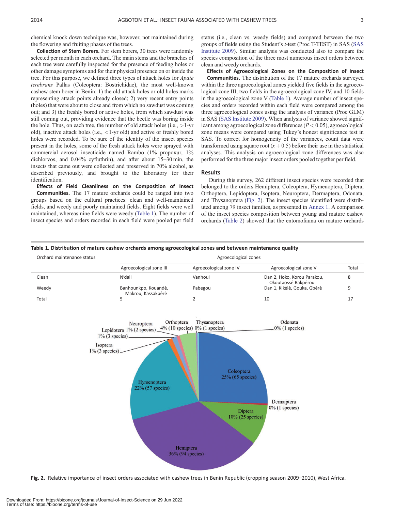chemical knock down technique was, however, not maintained during the flowering and fruiting phases of the trees.

Collection of Stem Borers. For stem borers, 30 trees were randomly selected per month in each orchard. The main stems and the branches of each tree were carefully inspected for the presence of feeding holes or other damage symptoms and for their physical presence on or inside the tree. For this purpose, we defined three types of attack holes for *Apate* terebrans Pallas (Coleoptera: Bostrichidae), the most well-known cashew stem borer in Benin: 1) the old attack holes or old holes marks representing attack points already closed; 2) very recent entry points (holes) that were about to close and from which no sawdust was coming out; and 3) the freshly bored or active holes, from which sawdust was still coming out, providing evidence that the beetle was boring inside the hole. Thus, on each tree, the number of old attack holes (i.e.,  $>1$ -yr old), inactive attack holes (i.e., <1-yr old) and active or freshly bored holes were recorded. To be sure of the identity of the insect species present in the holes, some of the fresh attack holes were sprayed with commercial aerosol insecticide named Rambo (1% propoxur, 1% dichlorvos, and 0.04% cyfluthrin), and after about 15–30 min, the insects that came out were collected and preserved in 70% alcohol, as described previously, and brought to the laboratory for their identification.

Effects of Field Cleanliness on the Composition of Insect Communities. The 17 mature orchards could be ranged into two groups based on the cultural practices: clean and well-maintained fields, and weedy and poorly maintained fields. Eight fields were well maintained, whereas nine fields were weedy (Table 1). The number of insect species and orders recorded in each field were pooled per field

status (i.e., clean vs. weedy fields) and compared between the two groups of fields using the Student's t-test (Proc T-TEST) in SAS ([SAS](#page-7-0) [Institute 2009\)](#page-7-0). Similar analysis was conducted also to compare the species composition of the three most numerous insect orders between clean and weedy orchards.

Effects of Agroecological Zones on the Composition of Insect Communities. The distribution of the 17 mature orchards surveyed within the three agroecological zones yielded five fields in the agroecological zone III, two fields in the agroecological zone IV, and 10 fields in the agroecological zone V (Table 1). Average number of insect species and orders recorded within each field were compared among the three agroecological zones using the analysis of variance (Proc GLM) in SAS [\(SAS Institute 2009](#page-7-0)). When analysis of variance showed significant among agroecological zone differences  $(P < 0.05)$ , agroecological zone means were compared using Tukey's honest significance test in SAS. To correct for homogeneity of the variances, count data were transformed using square root  $(x + 0.5)$  before their use in the statistical analyses. This analysis on agroecological zone differences was also performed for the three major insect orders pooled together per field.

#### Results

During this survey, 262 different insect species were recorded that belonged to the orders Hemiptera, Coleoptera, Hymenoptera, Diptera, Orthoptera, Lepidoptera, Isoptera, Neuroptera, Dermaptera, Odonata, and Thysanoptera (Fig. 2). The insect species identified were distributed among 79 insect families, as presented in [Annex 1](#page-8-0). A comparison of the insect species composition between young and mature cashew orchards ([Table 2](#page-4-0)) showed that the entomofauna on mature orchards

#### Table 1. Distribution of mature cashew orchards among agroecological zones and between maintenance quality

| Orchard maintenance status | Agroecological zones                       |                        |                                                    |       |
|----------------------------|--------------------------------------------|------------------------|----------------------------------------------------|-------|
|                            | Agroecological zone III                    | Agroecological zone IV | Agroecological zone V                              | Total |
| Clean                      | N'dali                                     | Vanhoui                | Dan 2, Hoko, Korou Parakou,<br>Okoutaossé Bakpérou | 8     |
| Weedy                      | Banhounkpo, Kouandé,<br>Makrou, Kassakpéré | Pabegou                | Dan 1, Kikélé, Gouka, Gbéré                        | a     |
| Total                      |                                            |                        | 10                                                 | 17    |



Fig. 2. Relative importance of insect orders associated with cashew trees in Benin Republic (cropping season 2009–2010), West Africa.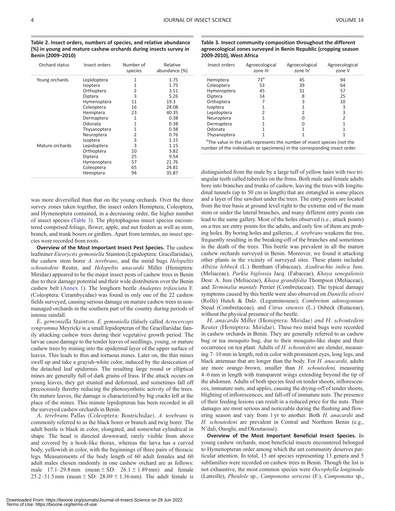<span id="page-4-0"></span>Table 2. Insect orders, numbers of species, and relative abundance (%) in young and mature cashew orchards during insects survey in Benin (2009–2010)

| Orchard status  | Insect orders | Number of<br>species | Relative<br>abundance (%) |
|-----------------|---------------|----------------------|---------------------------|
| Young orchards  | Lepidoptera   | 1                    | 1.75                      |
|                 | Isoptera      | 1                    | 1.75                      |
|                 | Orthoptera    | $\overline{2}$       | 3.51                      |
|                 | Diptera       | 3                    | 5.26                      |
|                 | Hymenoptera   | 11                   | 19.3                      |
|                 | Coleoptera    | 16                   | 28.08                     |
|                 | Hemiptera     | 23                   | 40.35                     |
|                 | Dermaptera    | $\mathbf{1}$         | 0.38                      |
|                 | Odonata       | $\mathbf{1}$         | 0.38                      |
|                 | Thysanoptera  | 1                    | 0.38                      |
|                 | Neuroptera    | 2                    | 0.76                      |
|                 | Isoptera      | 3                    | 1.15                      |
| Mature orchards | Lepidoptera   | 3                    | 1.15                      |
|                 | Orthoptera    | 10                   | 3.82                      |
|                 | Diptera       | 25                   | 9.54                      |
|                 | Hymenoptera   | 57                   | 21.76                     |
|                 | Coleoptera    | 65                   | 24.81                     |
|                 | Hemiptera     | 94                   | 35.87                     |

was more diversified than that on the young orchards. Over the three survey zones taken together, the insect orders Hemiptera, Coleoptera, and Hymenoptera contained, in a decreasing order, the higher number of insect species (Table 3). The phytophagous insect species encountered comprised foliage, flower, apple, and nut feeders as well as stem, branch, and trunk borers or girdlers. Apart from termites, no insect species were recorded from roots.

Overview of the Most Important Insect Pest Species. The cashew leafminer Eteoryctis gemoniella Stainton (Lepidoptera: Gracillariidae), the cashew stem borer A. terebrans, and the mirid bugs Helopeltis schoutedeni Reuter, and Helopeltis anacardii Miller (Hemiptera: Miridae) appeared to be the major insect pests of cashew trees in Benin due to their damage potential and their wide distribution over the Benin cashew belt [\(Annex 1\)](#page-8-0). The longhorn beetle Analeptes trifasciata F. (Coleoptera: Cerambycidae) was found in only one of the 22 cashew fields surveyed, causing serious damage on mature cashew trees in nonmanaged orchards in the southern part of the country during periods of intense rainfall.

E. gemoniella Stainton. E. gemoniella (falsely called Acrocercops syngramma Meyrick) is a small lepidopteran of the Gracillariidae family attacking cashew trees during their vegetative growth period. The larvae cause damage to the tender leaves of seedlings, young, or mature cashew trees by mining into the epidermal layer of the upper surface of leaves. This leads to thin and tortuous mines. Later on, the thin mines swell up and take a grayish-white color, induced by the desiccation of the detached leaf epidermis. The resulting large round or elliptical mines are generally full of dark grains of frass. If the attack occurs on young leaves, they get stunted and deformed, and sometimes fall off precociously thereby reducing the photosynthetic activity of the trees. On mature leaves, the damage is characterized by big cracks left at the place of the mines. This minute lepidopteran has been recorded in all the surveyed cashew orchards in Benin.

A. terebrans Pallas (Coleoptera: Bostrichidae). A. terebrans is commonly referred to as the black borer or branch and twig borer. The adult beetle is black in color, elongated, and somewhat cylindrical in shape. The head is directed downward, rarely visible from above and covered by a hook-like thorax, whereas the larva has a curved body, yellowish in color, with the beginnings of three pairs of thoracic legs. Measurements of the body length of 60 adult females and 60 adult males chosen randomly in one cashew orchard are as follows: male  $17.1-29.8$  mm (mean  $\pm$  SD:  $26.1 \pm 1.89$  mm) and female 25.2–31.5 mm (mean  $\pm$  SD: 28.09  $\pm$  1.36 mm). The adult female is

#### Table 3. Insect community composition throughout the different agroecological zones surveyed in Benin Republic (cropping season 2009-2010), West Africa

| Insect orders                                                                        | Agroecological<br>zone III | Agroecological<br>zone IV | Agroecological<br>zone V |  |  |
|--------------------------------------------------------------------------------------|----------------------------|---------------------------|--------------------------|--|--|
| Hemiptera                                                                            | $73^{\circ}$               | 45                        | 94                       |  |  |
| Coleoptera                                                                           | 53                         | 39                        | 64                       |  |  |
| Hymenoptera                                                                          | 45                         | 31                        | 57                       |  |  |
| Diptera                                                                              | 14                         | 8                         | 25                       |  |  |
| Orthoptera                                                                           |                            | 3                         | 10                       |  |  |
| Isoptera                                                                             |                            |                           | 3                        |  |  |
| Lepidoptera                                                                          | 2                          | 2                         | 3                        |  |  |
| Neuroptera                                                                           | 1                          |                           | $\overline{2}$           |  |  |
| Dermaptera                                                                           |                            |                           |                          |  |  |
| Odonata                                                                              |                            |                           |                          |  |  |
| Thysanoptera                                                                         |                            |                           |                          |  |  |
| <sup>a</sup> The value in the cells represents the number of insect species (not the |                            |                           |                          |  |  |

number of the individuals or specimens) in the corresponding insect order.

distinguished from the male by a large tuff of yellow hairs with two triangular teeth called tubercles on the frons. Both male and female adults bore into branches and trunks of cashew, leaving the trees with longitudinal tunnels (up to 50 cm in length) that are entangled in some places and a layer of fine sawdust under the trees. The entry points are located from the tree basis at ground level right to the extreme end of the main stem or under the lateral branches, and many different entry points can lead to the same gallery. Most of the holes observed (i.e., attack points) on a tree are entry points for the adults, and only few of them are probing holes. By boring holes and galleries, A. terebrans weakens the tree, frequently resulting in the breaking-off of the branches and sometimes in the death of the trees. This beetle was prevalent in all the mature cashew orchards surveyed in Benin. Moreover, we found it attacking other plants in the vicinity of surveyed sites. These plants included Albizia lebbeck (L.) Bentham (Fabaceae), Azadirachta indica Juss. (Meliaceae), Parkia biglossia Jacq. (Fabaceae), Khaya senegalensis Desr. A. Juss (Meliaceae), Khaya grandifolia Thompson (Meliaceae), and Terminalia mantaly Perrier (Combretaceae). The typical damage symptoms caused by this beetle were also observed on Daniella oliveri (Rolfe) Hutch & Dalz. (Leguminoseae), Combretum adenogonium Steud (Combretaceae), and Citrus sinensis (L.) Osbeck (Rutaceae), without the physical presence of the beetle.

H. anacardii Miller (Hemiptera: Miridae) and H. schoutedeni Reuter (Hemiptera: Miridae). These two mirid bugs were recorded in cashew orchards in Benin. They are generally referred to as cashew bug or tea mosquito bug, due to their mosquito-like shape and their occurrence on tea plant. Adults of H. schoutedeni are slender, measuring 7–10 mm in length, red in color with prominent eyes, long legs, and black antennae that are longer than the body. For H. anacardii, adults are more orange–brown, smaller than H. schoutedeni, measuring 4–6 mm in length with transparent wings extending beyond the tip of the abdomen. Adults of both species feed on tender shoots, inflorescences, immature nuts, and apples, causing the drying-off of tender shoots, blighting of inflorescences, and fall-off of immature nuts. The presence of their feeding lesions can result in a reduced price for the nuts. Their damages are most serious and noticeable during the flushing and flowering season and vary from 1 yr to another. Both H. anacardii and H. schoutedeni are prevalent in Central and Northern Benin (e.g., N'dali, Ouoghi, and Okoutaossé).

Overview of the Most Important Beneficial Insect Species. In young cashew orchards, most beneficial insects encountered belonged to Hymenopteran order among which the ant community deserves particular attention. In total, 15 ant species representing 13 genera and 5 subfamilies were recorded on cashew trees in Benin. Though the list is not exhaustive, the most common species were Oecophylla longinoda (Latreille), Pheidole sp., Camponotus sericeus (F.), Camponotus sp.,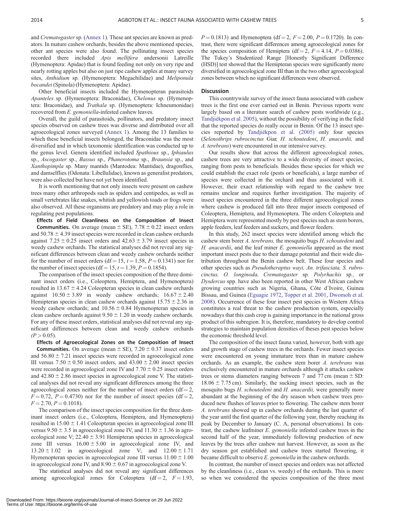and Crematogaster sp. ([Annex 1\)](#page-8-0). These ant species are known as predators. In mature cashew orchards, besides the above mentioned species, other ant species were also found. The pollinating insect species recorded there included Apis mellifera andersonii Latreille (Hymenoptera: Apidae) that is found feeding not only on very ripe and nearly rotting apples but also on just ripe cashew apples at many survey sites, Anthidium sp. (Hymenoptera: Megachilidae) and Meliponula bocandei (Spinola) (Hymenoptera: Apidae).

Other beneficial insects included the Hymenopteran parasitoids Apanteles sp. (Hymenoptera: Braconidae), Chelonus sp. (Hymenoptera: Braconidae), and Trathala sp. (Hymenoptera: Ichneumonidae) recovered from E. gemoniella-infested cashew leaves.

Overall, the guild of parasitoids, pollinators, and predatory insect species observed on cashew trees was diverse and distributed over all agroecological zones surveyed [\(Annex 1\)](#page-8-0). Among the 13 families to which these beneficial insects belonged, the Braconidae was the most diversified and in which taxonomic identification was conducted up to the genus level. Genera identified included Spathious sp., Iphiaulux sp., Ascogaster sp., Bassus sp., Phanerotoma sp., Braunsia sp., and Xanthopimpla sp. Many mantids (Mantodea: Mantidae), dragonflies, and damselflies (Odonata: Libellulidae), known as generalist predators, were also collected but have not yet been identified.

It is worth mentioning that not only insects were present on cashew trees many other arthropods such as spiders and centipedes, as well as small vertebrates like snakes, whitish and yellowish toads or frogs were also observed. All these organisms are predatory and may play a role in regulating pest populations.

Effects of Field Cleanliness on the Composition of Insect **Communities.** On average (mean  $\pm$  SE), 7.78  $\pm$  0.22 insect orders and  $50.78 \pm 4.39$  insect species were recorded in clean cashew orchards against  $7.25 \pm 0.25$  insect orders and  $42.63 \pm 3.79$  insect species in weedy cashew orchards. The statistical analyses did not reveal any significant differences between clean and weedy cashew orchards neither for the number of insect orders (df = 15,  $t = 1.58$ ,  $P = 0.1341$ ) nor for the number of insect species (df = 15,  $t = 1.39$ ,  $P = 0.1854$ ).

The comparison of the insect species composition of the three dominant insect orders (i.e., Coleoptera, Hemiptera, and Hymenoptera) resulted in  $13.67 \pm 4.24$  Coleopteran species in clean cashew orchards against  $10.50 \pm 3.89$  in weedy cashew orchards;  $16.67 \pm 2.40$ Hemipteran species in clean cashew orchards against  $15.75 \pm 2.36$  in weedy cashew orchards; and  $10.56 \pm 0.84$  Hymenopteran species in clean cashew orchards against  $9.50 \pm 1.20$  in weedy cashew orchards. For any of these insect orders, statistical analyses did not reveal any significant differences between clean and weedy cashew orchards  $(P > 0.05)$ .

Effects of Agroecological Zones on the Composition of Insect **Communities.** On average (mean  $\pm$  SE), 7.20  $\pm$  0.37 insect orders and  $56.80 \pm 7.21$  insect species were recorded in agroecological zone III versus  $7.50 \pm 0.50$  insect orders, and  $43.00 \pm 2.00$  insect species were recorded in agroecological zone IV and  $7.70 \pm 0.25$  insect orders and  $42.80 \pm 2.86$  insect species in agroecological zone V. The statistical analyses did not reveal any significant differences among the three agroecological zones neither for the number of insect orders  $(df = 2,$  $F = 0.72$ ,  $P = 0.4730$ ) nor for the number of insect species (df = 2,  $F = 2.70, P = 0.1018.$ 

The comparison of the insect species composition for the three dominant insect orders (i.e., Coleoptera, Hemiptera, and Hymenoptera) resulted in  $15.00 \pm 1.41$  Coleopteran species in agroecological zone III versus  $9.50 \pm 3.5$  in agroecological zone IV, and  $11.30 \pm 1.36$  in agroecological zone V;  $22.40 \pm 3.91$  Hemipteran species in agroecological zone III versus  $16.00 \pm 5.00$  in agroecological zone IV, and  $13.20 \pm 1.02$  in agroecological zone V; and  $12.00 \pm 1.71$ Hymenopteran species in agroecological zone III versus  $11.00 \pm 1.00$ in agroecological zone IV, and  $8.90 \pm 0.67$  in agroecological zone V.

The statistical analyses did not reveal any significant differences among agroecological zones for Coleoptera (df = 2,  $F = 1.93$ ,

 $P = 0.1813$ ) and Hymenoptera (df = 2,  $F = 2.00$ ,  $P = 0.1720$ ). In contrast, there were significant differences among agroecological zones for the species composition of Hemiptera (df = 2,  $F = 4.14$ ,  $P = 0.0386$ ). The Tukey's Studentized Range [Honestly Significant Difference (HSD)] test showed that the Hemipteran species were significantly more diversified in agroecological zone III than in the two other agroecological zones between which no significant differences were observed.

#### Discussion

This countrywide survey of the insect fauna associated with cashew trees is the first one ever carried out in Benin. Previous reports were largely based on a literature search of cashew pests worldwide (e.g., Tandjiékpon et al. 2005), without the possibility of verifying in the field that the reported species do really occur in Benin. Of the 13 insect species reported by Tandjiékpon et al. (2005) only four species (Selenothrips rubrocinctus Giar, H. schoutedeni, H. anacardii, and A. terebrans) were encountered in our intensive survey.

Our results show that across the different agroecological zones, cashew trees are very attractive to a wide diversity of insect species, ranging from pests to beneficials. Besides these species for which we could establish the exact role (pests or beneficials), a large number of species were collected in the orchard and thus associated with it. However, their exact relationship with regard to the cashew tree remains unclear and requires further investigation. The majority of insect species encountered in the three different agroecological zones where cashew is produced fall into three major insects composed of Coleoptera, Hemiptera, and Hymenoptera. The orders Coleoptera and Hemiptera were represented mostly by pest species such as stem borers, apple feeders, leaf feeders and suckers, and flower feeders.

In this study, 262 insect species were identified among which the cashew stem borer A. terebrans, the mosquito bugs H. schoutedeni and H. anacardii, and the leaf miner E. gemoniella appeared as the most important insect pests due to their damage potential and their wide distribution throughout the Benin cashew belt. These four species and other species such as Pseudotheraptus wayi, An. trifasciata, S. rubrocinctus, O. longinoda, Crematogaster sp. Polyrhachis sp., or Dysdercus spp. have also been reported in other West African cashew growing countries such as Nigeria, Ghana, Côte d'Ivoire, Guinea Bissau, and Guinea ([Eguagie 1972](#page-7-0), [Topper et al. 2001](#page-7-0), [Dwomoh et al.](#page-6-0) [2008](#page-6-0)). Occurrence of these four insect pest species in Western Africa constitutes a real threat to the cashew production system, especially nowadays that this cash crop is gaining importance in the national gross product of this subregion. It is, therefore, mandatory to develop control strategies to maintain population densities of theses pest species below the economic threshold level.

The composition of the insect fauna varied, however, both with age and growth stage of cashew trees in the orchards. Fewer insect species were encountered on young immature trees than in mature cashew orchards. As an example, the cashew stem borer A. terebrans was exclusively encountered in mature orchards although it attacks cashew trees or stems diameters ranging between 7 and 77 cm (mean  $\pm$  SD:  $18.06 \pm 7.75$  cm). Similarly, the sucking insect species, such as the mosquito bugs H. schoutedeni and H. anacardii, were generally more abundant at the beginning of the dry season when cashew trees produced new flushes of leaves prior to flowering. The cashew stem borer A. terebrans showed up in cashew orchards during the last quarter of the year until the first quarter of the following year, thereby reaching its peak by December to January (C. A, personal observations). In contrast, the cashew leafminer E. gemoniella infested cashew trees in the second half of the year, immediately following production of new leaves by the trees after cashew nut harvest. However, as soon as the dry season got established and cashew trees started flowering, it became difficult to observe E. gemoniella in the cashew orchards.

In contrast, the number of insect species and orders was not affected by the cleanliness (i.e., clean vs. weedy) of the orchards. This is more so when we considered the species composition of the three most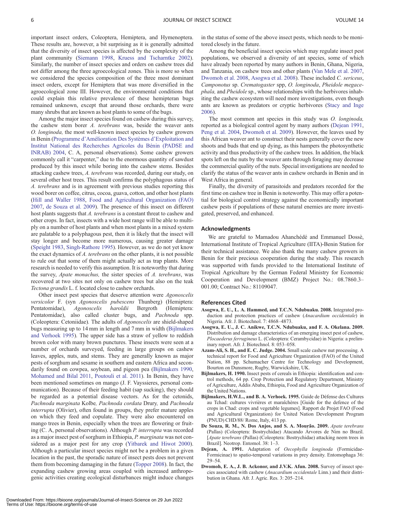<span id="page-6-0"></span>important insect orders, Coleoptera, Hemiptera, and Hymenoptera. These results are, however, a bit surprising as it is generally admitted that the diversity of insect species is affected by the complexity of the plant community ([Siemann 1998](#page-7-0), [Kruess and Tscharntke 2002\)](#page-7-0). Similarly, the number of insect species and orders on cashew trees did not differ among the three agroecological zones. This is more so when we considered the species composition of the three most dominant insect orders, except for Hemiptera that was more diversified in the agroecological zone III. However, the environmental conditions that could explain this relative prevalence of these hemipteran bugs remained unknown, except that around those orchards, there were many shrubs that are known as host plants to some of the bugs.

Among the major insect species found on cashew during this survey, the cashew stem borer A. terebrans was, beside the weaver ants O. longinoda, the most well-known insect species by cashew growers in Benin (Programme d'Amélioration Des Systèmes d'Exploitation and Institut National des Recherches Agricoles du Bénin (PADSE and [INRAB\) 2004](#page-7-0), C. A, personal observations). Some cashew growers commonly call it "carpenter," due to the enormous quantity of sawdust produced by this insect while boring into the cashew stems. Besides attacking cashew trees, A. terebrans was recorded, during our study, on several other host trees. This result confirms the polyphagous status of A. terebrans and is in agreement with previous studies reporting this wood borer on coffee, citrus, cocoa, guava, cotton, and other host plants ([Hill and Waller 1988,](#page-7-0) [Food and Agricultural Organization \(FAO\)](#page-7-0) [2007,](#page-7-0) de Souza et al. 2009). The presence of this insect on different host plants suggests that A. terebrans is a constant threat to cashew and other crops. In fact, insects with a wide host range will be able to multiply on a number of host plants and when most plants in a mixed system are palatable to a polyphagous pest, then it is likely that the insect will stay longer and become more numerous, causing greater damage ([Speight 1983](#page-7-0), [Singh-Rathore 1995](#page-7-0)). However, as we do not yet know the exact dynamics of  $A$ . terebrans on the other plants, it is not possible to rule out that some of them might actually act as trap plants. More research is needed to verify this assumption. It is noteworthy that during the survey, Apate monachus, the sister species of A. terebrans, was recovered at two sites not only on cashew trees but also on the teak Tectona grandis L. f. located close to cashew orchards.

Other insect pest species that deserve attention were Agonoscelis versicolor F. (syn Agonoscelis pubescens Thunberg) (Hemiptera: Pentatomidae), Agonoscelis haroldii Bergroth (Hemiptera: Pentatomidae), also called cluster bugs, and Pachnoda spp. (Coleoptera: Cetoniidae). The adults of Agonoscelis are shield-shaped bugs measuring up to 14 mm in length and 7 mm in width (Bijlmakers and Verhoek 1995). The upper side has a straw of yellow to reddish brown color with many brown punctures. These insects were seen at a number of orchards surveyed, feeding in large groups on cashew leaves, apples, nuts, and stems. They are generally known as major pests of sorghum and sesame in southern and eastern Africa and secondarily found on cowpea, soybean, and pigeon pea (Bijlmakers 1990, [Mohamed and Bilal 2011](#page-7-0), [Poutouli et al. 2011](#page-7-0)). In Benin, they have been mentioned sometimes on mango (J. F. Vayssieres, personal communication). Because of their feeding habit (sap sucking), they should be regarded as a potential disease vectors. As for the cetonids, Pachnoda marginata Kolbe, Pachnoda cordata Drury, and Pachnoda interrupta (Olivier), often found in groups, they prefer mature apples on which they feed and copulate. They were also encountered on mango trees in Benin, especially when the trees are flowering or fruiting (C. A, personal observations). Although P. interrupta was recorded as a major insect pest of sorghum in Ethiopia, P. marginata was not considered as a major pest for any crop ([Yitbarek and Hiwot 2000\)](#page-7-0). Although a particular insect species might not be a problem in a given location in the past, the sporadic nature of insect pests does not prevent them from becoming damaging in the future ([Topper 2008\)](#page-7-0). In fact, the expanding cashew growing areas coupled with increased anthropogenic activities creating ecological disturbances might induce changes

in the status of some of the above insect pests, which needs to be monitored closely in the future.

Among the beneficial insect species which may regulate insect pest populations, we observed a diversity of ant species, some of which have already been reported by many authors in Benin, Ghana, Nigeria, and Tanzania, on cashew trees and other plants ([Van Mele et al. 2007,](#page-7-0) Dwomoh et al. 2008, Asogwa et al. 2008). These included C. sericeus, Camponotus sp. Crematogaster spp, O. longinoda, Pheidole megacephala, and Pheidole sp., whose relationships with the herbivores inhabiting the cashew ecosystem will need more investigations, even though ants are known as predators or cryptic herbivores [\(Stacy and Inge](#page-7-0) [2006](#page-7-0)).

The most common ant species in this study was *O. longinoda*, reported as a biological control agent by many authors (Dejean 1991, [Peng et al. 2004](#page-7-0), [Dwomoh et al. 2009](#page-7-0)). However, the leaves used by this African weaver ant to construct their nests generally cover the new shoots and buds that end up dying, as this hampers the photosynthetic activity and thus productivity of the cashew trees. In addition, the black spots left on the nuts by the weaver ants through foraging may decrease the commercial quality of the nuts. Special investigations are needed to clarify the status of the weaver ants in cashew orchards in Benin and in West Africa in general.

Finally, the diversity of parasitoids and predators recorded for the first time on cashew tree in Benin is noteworthy. This may offer a potential for biological control strategy against the economically important cashew pests if populations of these natural enemies are more investigated, preserved, and enhanced.

#### Acknowledgments

We are grateful to Mamadou Ahanchédé and Emmanuel Dossè, International Institute of Tropical Agriculture (IITA)-Benin Station for their technical assistance. We also thank the many cashew growers in Benin for their precious cooperation during the study. This research was supported with funds provided to the International Institute of Tropical Agriculture by the German Federal Ministry for Economic Cooperation and Development (BMZ) Project No.: 08.7860.3– 001.00; Contract No.: 81109047.

#### References Cited

- Asogwa, E. U., L. A. Hammed, and T.C.N. Ndubuaku. 2008. Integrated production and protection practices of cashew (Anacardium occidentale) in Nigeria. Afr. J. Biotechnol. 7: 4868–4873.
- Asogwa, E. U., J. C. Anikwe, T.C.N. Ndubuaku, and F. A. Okelana. 2009. Distribution and damage characteristics of an emerging insect pest of cashew, Plocaederus ferrugineus L. (Coleoptera: Cerambycidae) in Nigeria: a preliminary report. Afr. J. Biotechnol. 8: 053–058.
- Azam-Ali, S. H., and E. C. Judge. 2004. Small scale cashew nut processing. A technical report for Food and Agriculture Organization (FAO) of the United Nation, 88 pp. Schumacher Centre for Technology and Development, Bourton on Dunsmore, Rugby, Warwickshire, UK.
- Bijlmakers, H. 1990. Insect pests of cereals in Ethiopia: identification and control methods, 64 pp. Crop Protection and Regulatory Department, Ministry of Agriculture, Addis Ababa, Ethiopia, Food and Agriculture Organization of the United Nations.
- Bijlmakers, H.W.L., and B. A. Verhoek. 1995. Guide de Défense des Cultures au Tchad: cultures vivrières et maraîchères [Guide for the defence of the crops in Chad: crops and vegetable legumes]. Rapport de Projet FAO (Food and Agricultural Organization) for United Nation Development Program (PNUD) CHD/88/ Rome, Italy, 413 pp.
- De Souza, R. M., N. Dos Anjos, and S. A. Mourão. 2009. Apate terebrans (Pallas) (Coleoptera: Bostrychidae) Atacando Arvores de Nim no Brazil. [Apate terebrans (Pallas) (Coleoptera: Bostrychidae) attacking neem trees in Brazil]. Neotrop. Entomol. 38: 1–3.
- Dejean, A. 1991. Adaptation of Oecophylla longinoda (Formicidae-Formicinae) to spatio-temporal variations in prey density. Entomophaga 36: 29–54.
- Dwomoh, E. A., J. B. Ackonor, and J.V.K. Afun. 2008. Survey of insect species associated with cashew (Anacardium occidentale Linn.) and their distribution in Ghana. Afr. J. Agric. Res. 3: 205–214.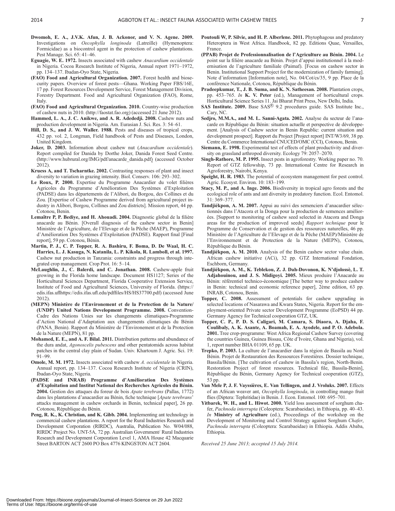- <span id="page-7-0"></span>Dwomoh, E. A., J.V.K. Afun, J. B. Ackonor, and V. N. Agene. 2009. Investigations on Oecophylla longinoda (Latreille) (Hymenoptera: Formicidae) as a biocontrol agent in the protection of cashew plantations. Pest Manage. Sci. 65: 41–46.
- Eguagie, W. E. 1972. Insects associated with cashew Anacardium occidentale in Nigeria. Cocoa Research Institute of Nigeria, Annual report 1971–1972, pp. 134–137. Ibadan-Oyo State, Nigeria.
- (FAO) Food and Agricultural Organization. 2007. Forest health and biosecurity papers. Overview of forest pests—Ghana. Working Paper FBS/16E, 17 pp. Forest Resources Development Service, Forest Management Division, Forestry Department. Food and Agricultural Organization (FAO), Rome, Italy.
- (FAO) Food and Agricultural Organization. 2010. Country-wise production of cashew nuts in 2010. [\(http://faostat.fao.org\)](http://faostat.fao.org) (accessed 21 June 2012).
- Hammed, L. A., J. C. Anikwe, and A. R. Adededji. 2008. Cashew nuts and production development in Nigeria. Am. Eurasian J. Sci. Res. 3: 54–61.
- Hill, D. S., and J. W. Waller. 1988. Pests and diseases of tropical crops, 432 pp. vol. 2, Longman, Field handbook of Pests and Diseases, London, United Kingdom.
- Joker, D. 2003. Information about cashew nut (Anacardium occidentale). Report compiled for Danida by Dorthe Joker, Danida Forest Seed Centre. ([http://www.hubrural.org/IMG/pdf/anacarde\\_danida.pdf](http://www.hubrural.org/IMG/pdf/anacarde_danida.pdf)) (accessed October 2012).
- Kruess A, and T. Tscharntke. 2002. Contrasting responses of plant and insect diversity to variation in grazing intensity. Biol. Conserv. 106: 293–302.
- Le Roux, P. 2000. Expertise du Programme Anacardier du volet filières Agricoles du Programme d'Amélioration Des Systèmes d'Exploitation (PADSE) dans les départements de l'Alibori, du Borgou, des Collines et du Zou. [Expertise of Cashew Programme derived from agricultural project industry in Alibori, Borgou, Collines and Zou districts]. Mission report, 44 pp. Cotonou, Benin.
- Lemaître P, P. Bediye, and H. Ahouadi. 2004. Diagnostic global de la filière anacarde au Bénin. [Overall diagnosis of the cashew sector in Benin] Ministère de l'Agriculture, de l'Elevage et de la Pêche (MAEP), Programme d'Amélioration Des Systèmes d'Exploitation (PADSE). Rapport final [Final report], 59 pp. Cotonou, Bénin.
- Martin, P. J., C. P. Topper, R. A. Bashiru, F. Boma, D. De Waal, H. C. Harries, L. J. Kasuga, N. Katanila, L. P. Kikola, R. Lamboll, et al. 1997. Cashew nut production in Tanzania: constraints and progress through integrated crop management. Crop Prot. 16: 5–14.
- McLaughlin, J., C. Balerdi, and C. Jonathan. 2008. Cashew-apple fruit growing in the Florida home landscape. Document HS1127; Series of the Horticultural Sciences Department, Florida Cooperative Extension Service, Institute of Food and Agricultural Sciences, University of Florida. [\(https://](https://edis.ifas.uflhttps://edis.ifas.ufl.edu/pdffiles/HS/HS37700.pdf) [edis.ifas.uflhttps://edis.ifas.ufl.edu/pdffiles/HS/HS37700.pdf\)](https://edis.ifas.uflhttps://edis.ifas.ufl.edu/pdffiles/HS/HS37700.pdf) (accessed June 2012).
- (MEPN) Ministère de l'Environement et de la Protection de la Nature/ (UNDP) United Nations Development Programme. 2008. Convention-Cadre des Nations Unies sur les changements climatiques-Programme d'Action National d'Adaptation aux changements climatiques du Bénin (PANA\_Benin). Rapport du Ministère de l'Environement et de la Protection de la Nature (MEPN), 81 pp.
- Mohamed, E. E., and A. F. Bilal. 2011. Distribution patterns and abundance of the dura andat, Agonoscelis pubescens and other pentatomids across habitat patches in the central clay plain of Sudan. Univ. Khartoum J. Agric. Sci. 19: 91–99.
- Omole, M. M. 1972. Insects associated with cashew A. occidentale in Nigeria. Annual report, pp. 134–137. Cocoa Research Institute of Nigeria (CRIN), Ibadan-Oyo State, Nigeria.
- (PADSE and INRAB) Programme d'Amélioration Des Systèmes d'Exploitation and Institut National des Recherches Agricoles du Bénin. 2004. Gestion des attaques du foreur de bois Apate terebrans (Pallas, 1772) dans les plantations d'anacardier au Bénin, fiche technique [Apate terebrans' attacks management in cashew orchards in Benin, technical paper], 26 pp. Cotonou, République du Bénin.
- Peng, R. K., K. Christian, and K. Gibb. 2004. Implementing ant technology in commercial cashew plantations. A report for the Rural Industries Research and Development Corporation (RIRDC), Australia, Publication No. W04/088, RIRDC Project No. UNT-5A, 72 pp. Australian Government/ Rural Industries Research and Development Corporation Level 1, AMA House 42 Macquarie Street BARTON ACT 2600 PO Box 4776 KINGSTON ACT 2604.
- Poutouli W, P. Silvie, and H. P. Alberlene. 2011. Phytophagous and predatory Heteroptera in West Africa. Handbook, 82 pp. Editions Quae, Versailles, France.
- (PPAB) Projet de Professionnalisation de l'Agriculture au Bénin. 2004. Le point sur la filière anacarde au Bénin. Projet d'appui institutionnel à la modernisation de l'agriculture familiale (Paimaf). [Focus on cashew sector in Benin. Institutional Support Project for the modernization of family farming]. Note d'information [Information note], No. 04/Cot/cs/35, 9 pp. Place de la conférence Nationale, Cotonou, République du Bénin.
- Pradeepkumar, T., J. B. Suma, and K. N. Satheesan. 2008. Plantation crops, pp. 453–765. In K. V. Peter (ed.), Management of horticultural crops. Horticultural Science Series 11. Jai Bharat Print Press, New Delhi, India.
- SAS Institute. 2009. Base SAS<sup>®</sup> 9.2 procedures guide. SAS Institute Inc., Cary, NC.
- Sedjro, M.M.A., and M. L. Sanni-Agata. 2002. Analyse du secteur de l'anacarde en République du Bénin: situation actuelle et perspective de développement. [Analysis of Cashew sector in Benin Republic: current situation and development prospect]. Rapport du Project [Project report] INT/W3/69, 38 pp. Centre du Commerce International CNUCED/OMC (CCI), Cotonou, Benin.
- Siemann, E. 1998. Experimental test of effects of plant productivity and diversity on grassland arthropod diversity. Ecology 79: 2057–2070.
- Singh-Rathore, M. P. 1995. Insect pests in agroforestry. Working paper no. 70. Report of GTZ fellowship, 73 pp. International Centre for Research in Agroforestry, Nairobi, Kenya.
- Speight, H. R. 1983. The potential of ecosystem management for pest control. Agric. Ecosyst. Environ. 10: 183–199.
- Stacy, M. P., and A. Inge. 2006. Biodiversity in tropical agro forests and the ecological role of ants and ant diversity in predatory function. Ecol. Entomol. 31: 369–377.
- Tandjiékpon, A. M. 2007. Appui au suivi des semenciers d'anacardier sélectionnés dans l'Atacora et la Donga pour la production de semences améliorées. [Support to monitoring of cashew seed selected in Atacora and Donga areas for the production of improved seeds] Rapport technique pour le Programme de Conservation et de gestion des ressources naturelles, 46 pp. Ministère de l'Agriculture de l'Elevage et de la Pêche (MAEP)/Ministère de l'Environnement et de Protection de la Nature (MEPN), Cotonou, République du Bénin.
- Tandjiékpon, A. M. 2010. Analysis of the Benin cashew sector value chain. African cashew initiative (ACi), 32 pp. GTZ International Fondation, Eschborn, Germany.
- Tandjiékpon, A. M., K. Teblekou, Z. J. Dah-Dovonon, K. N'djolossè, L. T. Adjahouinou, and J. S. Midigoyi. 2005. Mieux produire l'Anacarde au Bénin: référentiel technico-économique [The better way to produce cashew in Benin: technical and economic reference paper], 2ème edition, 63 pp. INRAB, Cotonou, Benin.
- Topper, C. 2008. Assessment of potentials for cashew upgrading in selected locations of Nasarawa and Kwara States, Nigeria. Report for the employment-oriented Private sector Development Programme (EoPSD) 44 pp. Germany Agency for Technical cooperation GTZ, UK.
- Topper, C. P., P. D. S. Caligari, M. Camara, S. Diaora, A. Djaha, F. Coulibaly, A. K. Asante, A. Boamah, E. A. Ayodele, and P. O. Adebola. 2001. Tree crop-programme: West Africa Regional Cashew Survey (covering the countries Guinea, Guinea Bissau, Côte d'Ivoire, Ghana and Nigeria), vol. 1, report number BHA 01109, 65 pp. UK.
- Trepko, P. 2003. La culture de l'anacardier dans la région de Bassila au Nord Bénin. Projet de Restauration des Ressources Forestières. Dossier technique, Bassila/Bénin. [The cultivation of cashew in Bassila's region, North-Benin. Restoration Project of forest resources. Technical file, Bassila-Benin], République du Bénin, Germany Agency for Technical cooperation (GTZ), 53 pp.
- Van Mele P, J. F. Vayssières, E. Van Tellingen, and J. Vroluks. 2007. Effects of an African weaver ant, Oecophylla longinoda, in controlling mango fruit flies (Diptera: Tephritidae) in Benin. J. Econ. Entomol. 100: 695–701.
- Yitbarek, W. H., and L. Hiwot. 2000. Yield loss assessment of sorghum chafer, Pachnoda interrupta (Coleoptera: Scarabaeidae), in Ethiopia, pp. 40–43. In Ministry of Agriculture (ed.), Proceedings of the workshop on the Development of Monitoring and Control Strategy against Sorghum Chafer, Pachnoda interrupta (Coleoptera: Scarabaeidae) in Ethiopia. Addis Ababa, Ethiopia.

Received 25 June 2013; accepted 15 July 2014.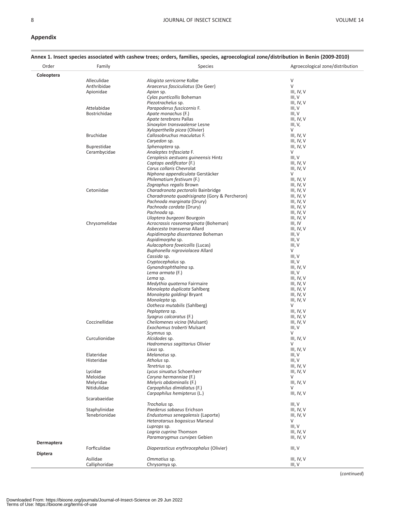÷

## <span id="page-8-0"></span>Appendix

| Order          | Family                     | <b>Species</b>                                                              | Agroecological zone/distribution |
|----------------|----------------------------|-----------------------------------------------------------------------------|----------------------------------|
| Coleoptera     |                            |                                                                             |                                  |
|                | Alleculidae<br>Anthribidae | Alogista serricorne Kolbe<br>Araecerus fasciculiatus (De Geer)              | $\vee$<br>$\vee$                 |
|                | Apionidae                  | Apion sp.                                                                   | III, IV, V                       |
|                |                            | Cylas punticollis Boheman                                                   | III, V                           |
|                | Attelabidae                | Piezotrachelus sp.<br>Parapoderus fuscicornis F.                            | III, IV, V<br>III, V             |
|                | Bostrichidae               | Apate monachus (F.)                                                         | III, V                           |
|                |                            | Apate terebrans Pallas<br>Sinoxylon transvaalense Lesne                     | III, IV, V<br>III, V,            |
|                |                            | Xyloperthella picea (Olivier)                                               | V                                |
|                | <b>Bruchidae</b>           | Callosobruchus maculatus F.                                                 | III, IV, V                       |
|                | <b>Buprestidae</b>         | Caryedon sp.<br>Sphenoptera sp.                                             | III, IV, V<br>III, IV, V         |
|                | Cerambycidae               | Analeptes trifasciata F.                                                    | V                                |
|                |                            | Ceroplesis aestuans guineensis Hintz<br>Coptops aedificator (F.)            | III, V<br>III, IV, V             |
|                |                            | Corus collaris Chevrolat                                                    | III, IV, V                       |
|                |                            | Niphona appendiculata Gerstäcker                                            | V                                |
|                |                            | Philematium festivum (F.)<br>Zographus regalis Brown                        | III, IV, V<br>III, IV, V         |
|                | Cetoniidae                 | Charadronota pectoralis Bainbridge                                          | III, IV, V                       |
|                |                            | Charadronota quadrisignata (Gory & Percheron)<br>Pachnoda marginata (Drury) | III, IV, V<br>III, IV, V         |
|                |                            | Pachnoda cordata (Drury)                                                    | III, IV, V                       |
|                |                            | Pachnoda sp.                                                                | III, IV, V                       |
|                | Chrysomelidae              | Uloptera burgeoni Bourgoin<br>Acrocrassis roseomarginata (Boheman)          | III, IV, V<br>III, IV            |
|                |                            | Asbecesta transversa Allard                                                 | III, IV, V                       |
|                |                            | Aspidimorpha dissentanea Boheman<br>Aspidimorpha sp.                        | III, V<br>III, V                 |
|                |                            | Aulacophora foveicollis (Lucas)                                             | III, V                           |
|                |                            | Buphonella nigroviolacea Allard<br>Cassida sp.                              | V<br>III, V                      |
|                |                            | Cryptocephalus sp.                                                          | III, V                           |
|                |                            | Gynandrophthalma sp.                                                        | III, IV, V                       |
|                |                            | Lema armata (F.)<br>Lema sp.                                                | III, V<br>III, IV, V             |
|                |                            | Medythia quaterna Fairmaire                                                 | III, IV, V                       |
|                |                            | Monolepta duplicata Sahlberg<br>Monolepta goldingi Bryant                   | III, IV, V<br>III, IV, V         |
|                |                            | Monolepta sp.                                                               | III, IV, V                       |
|                |                            | Ootheca mutabilis (Sahlberg)<br>Peploptera sp.                              | V<br>III, IV, V                  |
|                |                            | Syagrus calcaratus (F.)                                                     | III, IV, V                       |
|                | Coccinellidae              | Cheilomenes vicina (Mulsant)                                                | III, IV, V                       |
|                |                            | Exochomus troberti Mulsant<br>Scymnus sp.                                   | III, V<br>$\vee$                 |
|                | Curculionidae              | Alcidodes sp.                                                               | III, IV, V                       |
|                |                            | Hadromerus sagittarius Olivier<br>Lixus sp.                                 | $\vee$<br>III, IV, V             |
|                | Elateridae                 | Melanotus sp.                                                               | III, V                           |
|                | Histeridae                 | Atholus sp.<br>Teretrius sp.                                                | III, V<br>III, IV, V             |
|                | Lycidae                    | Lycus sinuatus Schoenherr                                                   | III, IV, V                       |
|                | Meloidae                   | Coryna hermanniae (F.)                                                      | V                                |
|                | Melyridae<br>Nitidulidae   | Melyris abdominalis (F.)<br>Carpophilus dimidiatus (F.)                     | III, IV, V<br>V                  |
|                |                            | Carpophilus hemipterus (L.)                                                 | III, IV, V                       |
|                | Scarabaeidae               | Trochalus sp.                                                               | III, V                           |
|                | Staphylinidae              | Paederus sabaeus Erichson                                                   | III, IV, V                       |
|                | Tenebrionidae              | Endustomus senegalensis (Laporte)<br>Heterotarsus bogosicus Marseul         | III, IV, V<br>V                  |
|                |                            | Luprops sp.                                                                 | III, V                           |
|                |                            | Lagria cuprina Thomson                                                      | III, IV, V                       |
| Dermaptera     |                            | Paramarygmus curvipes Gebien                                                | III, IV, V                       |
|                | Forficulidae               | Diaperasticus erythrocephalus (Olivier)                                     | III, V                           |
| <b>Diptera</b> | Asilidae                   | Ommatius sp.                                                                | III, IV, V                       |
|                | Calliphoridae              | Chrysomya sp.                                                               | III, V                           |

Annex 1. Insect species associated with cashew trees; orders, families, species, agroecological zone/distribution in Benin (2009-2010)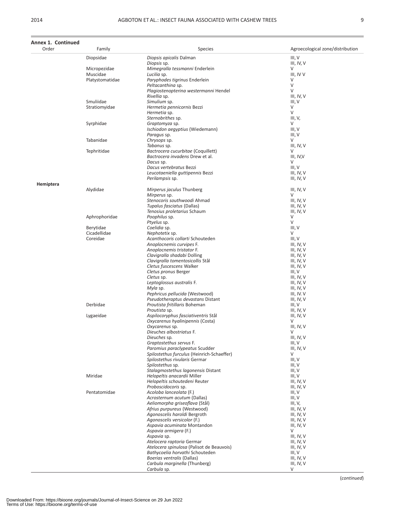п

| Annex 1. Continued<br>Order | Family          | <b>Species</b>                                                | Agroecological zone/distribution |
|-----------------------------|-----------------|---------------------------------------------------------------|----------------------------------|
|                             | Diopsidae       | Diopsis apicalis Dalman                                       | III, V                           |
|                             |                 | Diopsis sp.                                                   | III, IV, V                       |
|                             | Micropezidae    | Mimegralla tessmanni Enderlein                                | V                                |
|                             | Muscidae        | Lucilia sp.                                                   | III, IV V                        |
|                             | Platystomatidae | Paryphodes tigrinus Enderlein                                 | V                                |
|                             |                 | Peltacanthina sp.                                             | V                                |
|                             |                 | Plagiostenopterina westermanni Hendel                         | $\vee$                           |
|                             | Smuliidae       | Rivellia sp.<br>Simulium sp.                                  | III, IV, V                       |
|                             | Stratiomyidae   | Hermetia pennicornis Bezzi                                    | III, V<br>V                      |
|                             |                 | Hermetia sp.                                                  | V                                |
|                             |                 | Sternobrithes sp.                                             | III, V,                          |
|                             | Syrphidae       | Graptomyza sp.                                                | V                                |
|                             |                 | Ischiodon aegyptius (Wiedemann)                               | III, V                           |
|                             |                 | Paragus sp.                                                   | III, V                           |
|                             | Tabanidae       | Chrysops sp.                                                  | V                                |
|                             |                 | Tabanus sp.                                                   | III, IV, V                       |
|                             | Tephritidae     | Bactrocera cucurbitae (Coquillett)                            | V                                |
|                             |                 | Bactrocera invadens Drew et al.                               | III, IV, V                       |
|                             |                 | Dacus sp.                                                     | V<br>III, V                      |
|                             |                 | Dacus vertebratus Bezzi<br>Leucotaeniella guttipennis Bezzi   | III, IV, V                       |
|                             |                 | Perilampsis sp.                                               | III, IV, V                       |
| Hemiptera                   |                 |                                                               |                                  |
|                             | Alydidae        | Mirperus jaculus Thunberg                                     | III, IV, V                       |
|                             |                 | Mirperus sp.                                                  | V                                |
|                             |                 | Stenocoris southwoodi Ahmad                                   | III, IV, V                       |
|                             |                 | Tupalus fasciatus (Dallas)                                    | III, IV, V                       |
|                             |                 | Tenosius proletarius Schaum                                   | III, IV, V                       |
|                             | Aphrophoridae   | Poophilus sp.                                                 | V                                |
|                             |                 | Ptyelus sp.                                                   | V                                |
|                             | Berytidae       | Coelidia sp.                                                  | III, V                           |
|                             | Cicadellidae    | Nephotetix sp.                                                | V                                |
|                             | Coreidae        | Acanthocoris collarti Schouteden<br>Anoplocnemis curvipes F.  | III, V<br>III, IV, V             |
|                             |                 | Anoplocnemis tristator F.                                     | III, IV, V                       |
|                             |                 | Clavigralla shadabi Dolling                                   | III, IV, V                       |
|                             |                 | Clavigralla tomentosicollis Stål                              | III, IV, V                       |
|                             |                 | Cletus fuscescens Walker                                      | III, IV, V                       |
|                             |                 | Cletus pronus Berger                                          | III, V                           |
|                             |                 | Cletus sp.                                                    | III, IV, V                       |
|                             |                 | Leptoglossus australis F.                                     | III, IV, V                       |
|                             |                 | Myla sp.                                                      | III, IV, V                       |
|                             |                 | Pephricus pellucida (Westwood)                                | III, IV. V                       |
|                             | Derbidae        | Pseudotheraptus devastans Distant                             | III, IV, V                       |
|                             |                 | Proutista fritillaris Boheman<br>Proutista sp.                | III, V<br>III, IV, V             |
|                             | Lygaeidae       | Aspilocoryphus fasciativentris Stål                           | III, IV, V                       |
|                             |                 | Oxycarenus hyalinipennis (Costa)                              | $\vee$                           |
|                             |                 | Oxycarenus sp.                                                | III, IV, V                       |
|                             |                 | Dieuches albostriatus F.                                      | V                                |
|                             |                 | Dieuches sp.                                                  | III, IV, V                       |
|                             |                 | Graptostethus servus F.                                       | III, V                           |
|                             |                 | Paromius paraclypeatus Scudder                                | III, IV, V                       |
|                             |                 | Spilostethus furculus (Heinrich-Schaeffer)                    | V                                |
|                             |                 | Spilostethus rivularis Germar                                 | III, V                           |
|                             |                 | Spilostethus sp.                                              | III, V                           |
|                             |                 | Stalagmostethus lagonensis Distant                            | III, V                           |
|                             | Miridae         | Helopeltis anacardii Miller<br>Helopeltis schoutedeni Reuter  | III, V<br>III, IV, V             |
|                             |                 | Proboscidocoris sp.                                           | III, IV, V                       |
|                             | Pentatomidae    | Acoloba lanceolata (F.)                                       | III, V                           |
|                             |                 | Acrosternum acutum (Dallas)                                   | III, V                           |
|                             |                 | Aeliomorpha griseoflava (Stål)                                | III, V,                          |
|                             |                 | Afrius purpureus (Westwood)                                   | III, IV, V                       |
|                             |                 | Agonoscelis haroldi Bergroth                                  | III, IV, V                       |
|                             |                 | Agonoscelis versicolor (F.)                                   | III, IV, V                       |
|                             |                 | Aspavia acuminata Montandon                                   | III, IV, V                       |
|                             |                 | Aspavia armigera (F.)                                         | V                                |
|                             |                 | Aspavia sp.                                                   | III, IV, V                       |
|                             |                 | Atelocera raptoria Germar                                     | III, IV, V                       |
|                             |                 | Atelocera spinulosa (Palisot de Beauvois)                     | III, IV, V                       |
|                             |                 | Bathycoelia horvathi Schouteden<br>Boerias ventralis (Dallas) | III, V                           |
|                             |                 | Carbula marginella (Thunberg)                                 | III, IV, V                       |
|                             |                 | Carbula sp.                                                   | III, IV, V<br>V                  |
|                             |                 |                                                               |                                  |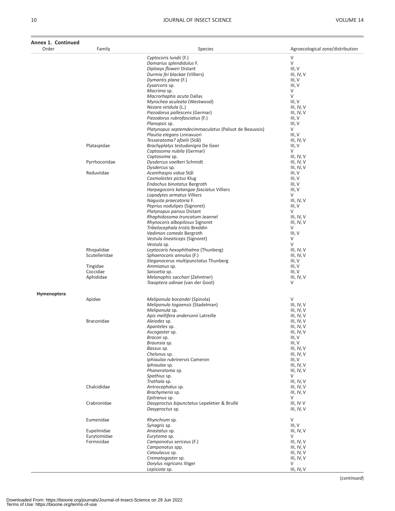п

| <b>Annex 1. Continued</b> |                           |                                                                   |                                  |
|---------------------------|---------------------------|-------------------------------------------------------------------|----------------------------------|
| Order                     | Family                    | <b>Species</b>                                                    | Agroecological zone/distribution |
|                           |                           | Cyptocoris lundii (F.)                                            | V                                |
|                           |                           | Damarius splendidulus F.                                          | V                                |
|                           |                           | Diploxys floweri Distant                                          | III, V                           |
|                           |                           | Durmia fei blackae (Villiers)                                     | III, IV, V                       |
|                           |                           | Dymantis plana (F.)                                               | III, V                           |
|                           |                           | Eysarcoris sp.                                                    | III, V                           |
|                           |                           | Macrima sp.<br>Macrorhaphis acuta Dallas                          | V<br>V                           |
|                           |                           | Myrochea aculeata (Westwood)                                      | III, V                           |
|                           |                           | Nezara viridula (L.)                                              | III, IV, V                       |
|                           |                           | Piezodorus pallescens (Germar)                                    | III, IV, V                       |
|                           |                           | Piezodorus rubrofasciatus (F.)                                    | III, V                           |
|                           |                           | Planopsis sp.                                                     | III, V                           |
|                           |                           | Platynopus septemdecimmaculatus (Palisot de Beauvois)             | V                                |
|                           |                           | Plautia elegans Linnavuori<br>Tessaratoma? afzelii (Stål)         | III, V<br>III, IV, V             |
|                           | Plataspidae               | Brachyplatys testudonigra De Geer                                 | III, V                           |
|                           |                           | Coptosoma nubila (Germar)                                         | V                                |
|                           |                           | Coptosoma sp.                                                     | III, IV, V                       |
|                           | Pyrrhocoridae             | Dysdercus voelkeri Schmidt                                        | III, IV, V                       |
|                           |                           | Dysdercus sp.                                                     | III, IV, V                       |
|                           | Reduviidae                | Acanthaspis vidua Stål                                            | III, V                           |
|                           |                           | Cosmolestes pictus Klug<br>Endochus binotatus Bergroth            | III, V<br>III, V                 |
|                           |                           | Harpagocoris katangae fasciatus Villiers                          | III, V                           |
|                           |                           | Lopodytes armatus Villiers                                        | V                                |
|                           |                           | Nagusta praecatoria F.                                            | III, IV, V                       |
|                           |                           | Peprius nodulipes (Signoret)                                      | III, V                           |
|                           |                           | Platynopus parvus Distant                                         | V                                |
|                           |                           | Rhaphidosoma truncatum Jeannel<br>Rhynocoris albopilosus Signoret | III, IV, V<br>III, IV, V         |
|                           |                           | Tribelocephala tristis Breddin                                    | V                                |
|                           |                           | Vadimon comedo Bergroth                                           | III, V                           |
|                           |                           | Vestula lineaticeps (Signoret)                                    | V                                |
|                           |                           | Vestula sp.                                                       | V                                |
|                           | Rhopalidae                | Leptocoris hexophthalma (Thunberg)                                | III, IV, V                       |
|                           | Scutelleridae             | Sphaerocoris annulus (F.)                                         | III, IV, V                       |
|                           | Tingidae                  | Steganocerus multipunctatus Thunberg<br>Ammianus sp.              | III, V<br>III, V                 |
|                           | Coccidae                  | Saissetia sp.                                                     | III, V                           |
|                           | Aphididae                 | Melanaphis sacchari (Zehntner)                                    | III, IV, V                       |
|                           |                           | Toxoptera odinae (van der Goot)                                   | V                                |
|                           |                           |                                                                   |                                  |
| Hymenoptera               | Apidae                    | Meliponula bocandei (Spinola)                                     | V                                |
|                           |                           | Meliponula togoensis (Stadelman)                                  | III, IV, V                       |
|                           |                           | Meliponula sp.                                                    | III, IV, V                       |
|                           |                           | Apis mellifera andersonii Latreille                               | III, IV, V                       |
|                           | <b>Braconidae</b>         | Aleiodes sp.                                                      | III, IV, V                       |
|                           |                           | Apanteles sp.                                                     | III, IV, V                       |
|                           |                           | Ascogaster sp.                                                    | III, IV, V<br>III, V             |
|                           |                           | Bracon sp.<br>Braunsia sp.                                        | III, V                           |
|                           |                           | Bassus sp.                                                        | III, IV, V                       |
|                           |                           | Chelonus sp.                                                      | III, IV, V                       |
|                           |                           | Iphiaulax rubrinervis Cameron                                     | III, V                           |
|                           |                           | Iphiaulax sp.                                                     | III, IV, V                       |
|                           |                           | Phanerotoma sp.                                                   | III, IV, V                       |
|                           |                           | Spathius sp.<br>Trathala sp.                                      | V<br>III, IV, V                  |
|                           | Chalcididae               | Antrocephalus sp.                                                 | III, IV, V                       |
|                           |                           | Brachymeria sp.                                                   | III, IV, V                       |
|                           |                           | Epitranus sp.                                                     | V                                |
|                           | Crabronidae               | Dasyproctus bipunctatus Lepeletier & Brullé                       | III, IV V                        |
|                           |                           | Dasyproctus sp.                                                   | III, IV, V                       |
|                           | Eumenidae                 | Rhynchium sp.                                                     | V                                |
|                           |                           | Synagris sp.                                                      | III, V                           |
|                           | Eupelmidae                | Anastatus sp.                                                     | III, IV, V                       |
|                           | Eurytomidae<br>Formicidae | Eurytoma sp.<br>Camponotus sericeus (F.)                          | V<br>III, IV, V                  |
|                           |                           | Camponotus spp.                                                   | III, IV, V                       |
|                           |                           | Cataulacus sp.                                                    | III, IV, V                       |
|                           |                           | Crematogaster sp.                                                 | III, IV, V                       |
|                           |                           | Dorylus nigricans Illiger                                         | V                                |
|                           |                           | Lepisiota sp.                                                     | III, IV, V                       |